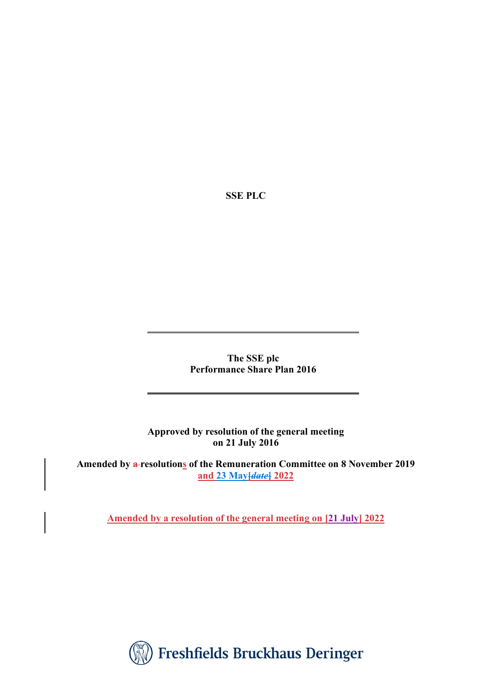**SSE PLC**

**The SSE plc Performance Share Plan 2016**

**Approved by resolution of the general meeting on 21 July 2016** 

**Amended by a resolutions of the Remuneration Committee on 8 November 2019 and 23 May[***date***] 2022** 

**Amended by a resolution of the general meeting on [21 July] 2022** 

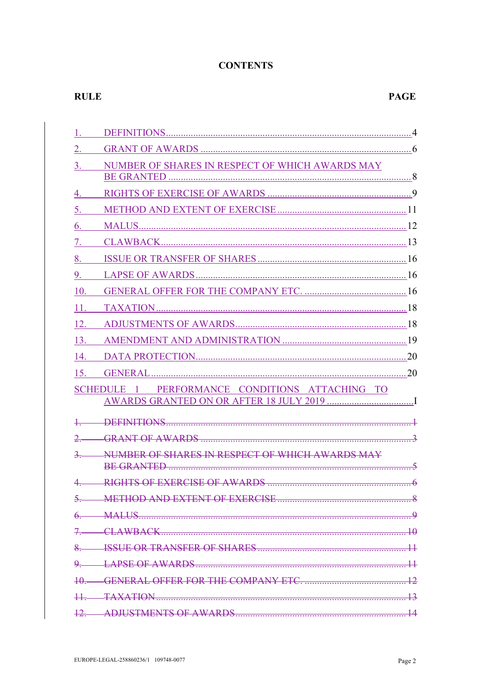# **CONTENTS**

# **RULE**

| 1.                          |                                                                        |  |
|-----------------------------|------------------------------------------------------------------------|--|
| 2.                          |                                                                        |  |
| 3.                          | NUMBER OF SHARES IN RESPECT OF WHICH AWARDS MAY                        |  |
|                             |                                                                        |  |
| 4.                          |                                                                        |  |
| 5.                          |                                                                        |  |
| 6.                          |                                                                        |  |
| 7.                          |                                                                        |  |
| 8.                          |                                                                        |  |
| 9.                          |                                                                        |  |
| 10.                         |                                                                        |  |
| 11.                         |                                                                        |  |
| 12.                         |                                                                        |  |
| 13.                         |                                                                        |  |
| 14.                         |                                                                        |  |
| 15.                         |                                                                        |  |
|                             | PERFORMANCE CONDITIONS ATTACHING TO<br><b>SCHEDULE</b><br>$\mathbf{1}$ |  |
|                             |                                                                        |  |
|                             |                                                                        |  |
|                             |                                                                        |  |
| 2                           | NUMBER OF SHARES IN RESPECT OF WHICH AWARDS MAY<br>BE GRANTED          |  |
|                             |                                                                        |  |
|                             |                                                                        |  |
|                             |                                                                        |  |
| $\mathcal{I}_{\mathcal{C}}$ |                                                                        |  |
|                             |                                                                        |  |
|                             |                                                                        |  |
|                             |                                                                        |  |
|                             |                                                                        |  |
|                             |                                                                        |  |
|                             |                                                                        |  |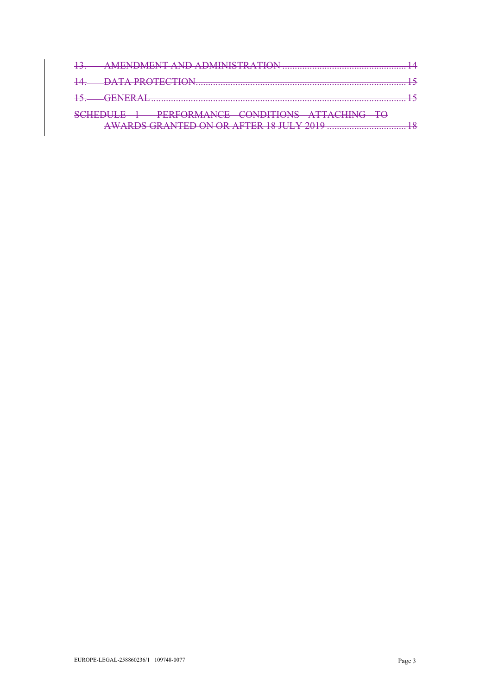| <i>IANCE CONDITIONS ATTACHING</i><br><b>DEDEC</b>                                                                                                                                                                                                                  |  |
|--------------------------------------------------------------------------------------------------------------------------------------------------------------------------------------------------------------------------------------------------------------------|--|
| $0.10$ and $0.10$ and $0.10$ and $0.10$ and $0.10$ and $0.10$ and $0.10$ and $0.10$ and $0.10$ and $0.10$ and $0.10$ and $0.10$ and $0.10$ and $0.10$ and $0.10$ and $0.10$ and $0.10$ and $0.10$ and $0.10$ and $0.10$ and<br>$TFD \cap M \cap D$ a fted 10 H H V |  |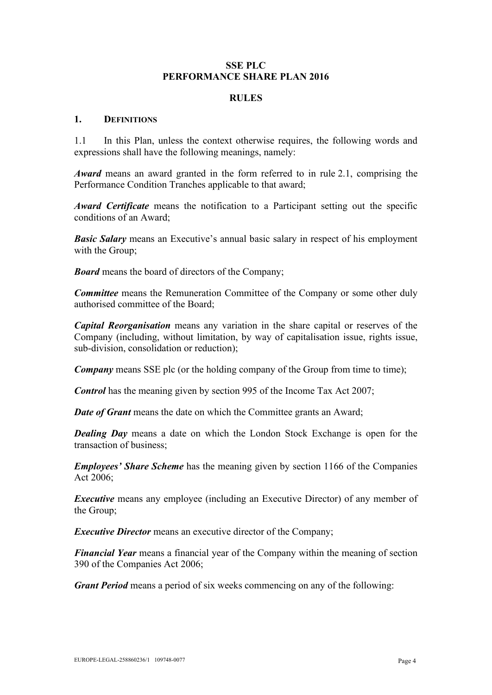#### **SSE PLC PERFORMANCE SHARE PLAN 2016**

#### **RULES**

#### **1. DEFINITIONS**

<span id="page-3-0"></span>1.1 In this Plan, unless the context otherwise requires, the following words and expressions shall have the following meanings, namely:

*Award* means an award granted in the form referred to in rule [2.1,](#page-5-0) comprising the Performance Condition Tranches applicable to that award;

*Award Certificate* means the notification to a Participant setting out the specific conditions of an Award;

*Basic Salary* means an Executive's annual basic salary in respect of his employment with the Group;

*Board* means the board of directors of the Company;

*Committee* means the Remuneration Committee of the Company or some other duly authorised committee of the Board;

*Capital Reorganisation* means any variation in the share capital or reserves of the Company (including, without limitation, by way of capitalisation issue, rights issue, sub-division, consolidation or reduction);

*Company* means SSE plc (or the holding company of the Group from time to time);

*Control* has the meaning given by section 995 of the Income Tax Act 2007;

*Date of Grant* means the date on which the Committee grants an Award;

*Dealing Day* means a date on which the London Stock Exchange is open for the transaction of business;

*Employees' Share Scheme* has the meaning given by section 1166 of the Companies Act 2006;

*Executive* means any employee (including an Executive Director) of any member of the Group;

*Executive Director* means an executive director of the Company;

*Financial Year* means a financial year of the Company within the meaning of section 390 of the Companies Act 2006;

*Grant Period* means a period of six weeks commencing on any of the following: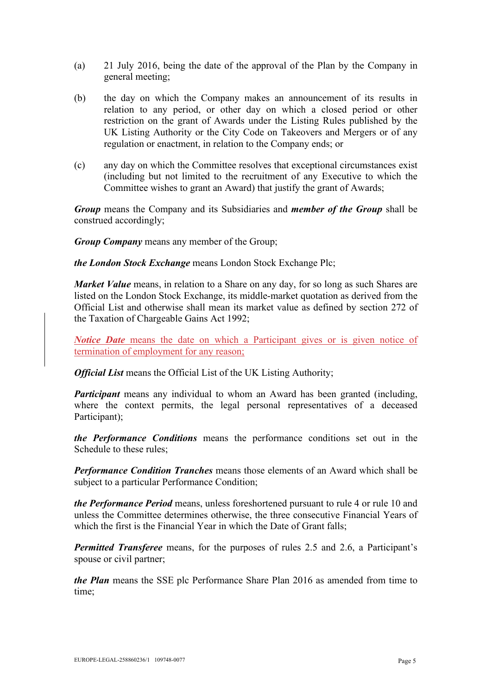- (a) 21 July 2016, being the date of the approval of the Plan by the Company in general meeting;
- (b) the day on which the Company makes an announcement of its results in relation to any period, or other day on which a closed period or other restriction on the grant of Awards under the Listing Rules published by the UK Listing Authority or the City Code on Takeovers and Mergers or of any regulation or enactment, in relation to the Company ends; or
- (c) any day on which the Committee resolves that exceptional circumstances exist (including but not limited to the recruitment of any Executive to which the Committee wishes to grant an Award) that justify the grant of Awards;

*Group* means the Company and its Subsidiaries and *member of the Group* shall be construed accordingly;

*Group Company* means any member of the Group;

*the London Stock Exchange* means London Stock Exchange Plc;

*Market Value* means, in relation to a Share on any day, for so long as such Shares are listed on the London Stock Exchange, its middle-market quotation as derived from the Official List and otherwise shall mean its market value as defined by section 272 of the Taxation of Chargeable Gains Act 1992;

*Notice Date* means the date on which a Participant gives or is given notice of termination of employment for any reason;

*Official List* means the Official List of the UK Listing Authority;

*Participant* means any individual to whom an Award has been granted (including, where the context permits, the legal personal representatives of a deceased Participant);

*the Performance Conditions* means the performance conditions set out in the Schedule to these rules;

*Performance Condition Tranches* means those elements of an Award which shall be subject to a particular Performance Condition;

*the Performance Period* means, unless foreshortened pursuant to rule [4](#page-8-0) or rule [10](#page-15-0) and unless the Committee determines otherwise, the three consecutive Financial Years of which the first is the Financial Year in which the Date of Grant falls:

*Permitted Transferee* means, for the purposes of rules [2.5](#page-6-0) and [2.6,](#page-6-1) a Participant's spouse or civil partner;

*the Plan* means the SSE plc Performance Share Plan 2016 as amended from time to time;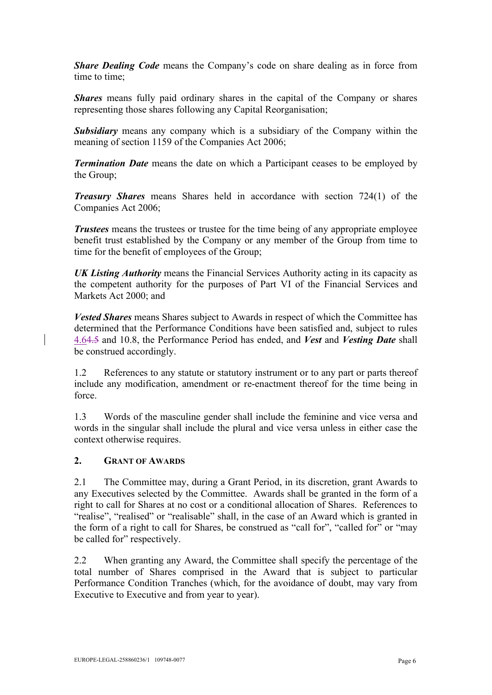*Share Dealing Code* means the Company's code on share dealing as in force from time to time;

*Shares* means fully paid ordinary shares in the capital of the Company or shares representing those shares following any Capital Reorganisation;

*Subsidiary* means any company which is a subsidiary of the Company within the meaning of section 1159 of the Companies Act 2006;

*Termination Date* means the date on which a Participant ceases to be employed by the Group;

*Treasury Shares* means Shares held in accordance with section 724(1) of the Companies Act 2006;

*Trustees* means the trustees or trustee for the time being of any appropriate employee benefit trust established by the Company or any member of the Group from time to time for the benefit of employees of the Group;

*UK Listing Authority* means the Financial Services Authority acting in its capacity as the competent authority for the purposes of Part VI of the Financial Services and Markets Act 2000; and

*Vested Shares* means Shares subject to Awards in respect of which the Committee has determined that the Performance Conditions have been satisfied and, subject to rules [4.64.5](#page-10-0) and [10.8,](#page-17-0) the Performance Period has ended, and *Vest* and *Vesting Date* shall be construed accordingly.

1.2 References to any statute or statutory instrument or to any part or parts thereof include any modification, amendment or re-enactment thereof for the time being in force.

1.3 Words of the masculine gender shall include the feminine and vice versa and words in the singular shall include the plural and vice versa unless in either case the context otherwise requires.

#### <span id="page-5-1"></span>**2. GRANT OF AWARDS**

<span id="page-5-0"></span>2.1 The Committee may, during a Grant Period, in its discretion, grant Awards to any Executives selected by the Committee. Awards shall be granted in the form of a right to call for Shares at no cost or a conditional allocation of Shares. References to "realise", "realised" or "realisable" shall, in the case of an Award which is granted in the form of a right to call for Shares, be construed as "call for", "called for" or "may be called for" respectively.

2.2 When granting any Award, the Committee shall specify the percentage of the total number of Shares comprised in the Award that is subject to particular Performance Condition Tranches (which, for the avoidance of doubt, may vary from Executive to Executive and from year to year).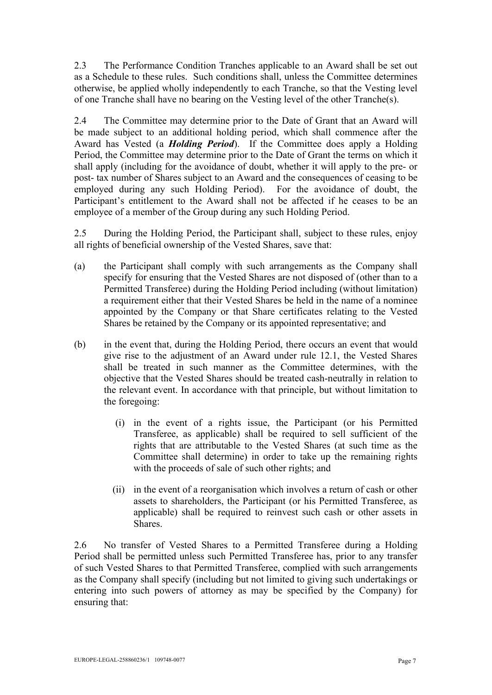2.3 The Performance Condition Tranches applicable to an Award shall be set out as a Schedule to these rules. Such conditions shall, unless the Committee determines otherwise, be applied wholly independently to each Tranche, so that the Vesting level of one Tranche shall have no bearing on the Vesting level of the other Tranche(s).

2.4 The Committee may determine prior to the Date of Grant that an Award will be made subject to an additional holding period, which shall commence after the Award has Vested (a *Holding Period*). If the Committee does apply a Holding Period, the Committee may determine prior to the Date of Grant the terms on which it shall apply (including for the avoidance of doubt, whether it will apply to the pre- or post- tax number of Shares subject to an Award and the consequences of ceasing to be employed during any such Holding Period). For the avoidance of doubt, the Participant's entitlement to the Award shall not be affected if he ceases to be an employee of a member of the Group during any such Holding Period.

<span id="page-6-0"></span>2.5 During the Holding Period, the Participant shall, subject to these rules, enjoy all rights of beneficial ownership of the Vested Shares, save that:

- (a) the Participant shall comply with such arrangements as the Company shall specify for ensuring that the Vested Shares are not disposed of (other than to a Permitted Transferee) during the Holding Period including (without limitation) a requirement either that their Vested Shares be held in the name of a nominee appointed by the Company or that Share certificates relating to the Vested Shares be retained by the Company or its appointed representative; and
- <span id="page-6-2"></span>(b) in the event that, during the Holding Period, there occurs an event that would give rise to the adjustment of an Award under rule [12.1,](#page-17-1) the Vested Shares shall be treated in such manner as the Committee determines, with the objective that the Vested Shares should be treated cash-neutrally in relation to the relevant event. In accordance with that principle, but without limitation to the foregoing:
	- (i) in the event of a rights issue, the Participant (or his Permitted Transferee, as applicable) shall be required to sell sufficient of the rights that are attributable to the Vested Shares (at such time as the Committee shall determine) in order to take up the remaining rights with the proceeds of sale of such other rights; and
	- (ii) in the event of a reorganisation which involves a return of cash or other assets to shareholders, the Participant (or his Permitted Transferee, as applicable) shall be required to reinvest such cash or other assets in Shares.

<span id="page-6-1"></span>2.6 No transfer of Vested Shares to a Permitted Transferee during a Holding Period shall be permitted unless such Permitted Transferee has, prior to any transfer of such Vested Shares to that Permitted Transferee, complied with such arrangements as the Company shall specify (including but not limited to giving such undertakings or entering into such powers of attorney as may be specified by the Company) for ensuring that: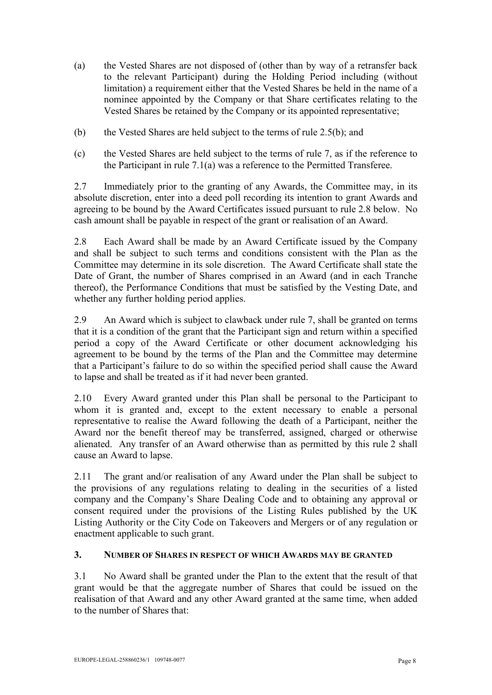- (a) the Vested Shares are not disposed of (other than by way of a retransfer back to the relevant Participant) during the Holding Period including (without limitation) a requirement either that the Vested Shares be held in the name of a nominee appointed by the Company or that Share certificates relating to the Vested Shares be retained by the Company or its appointed representative;
- (b) the Vested Shares are held subject to the terms of rule [2.5\(b\);](#page-6-2) and
- (c) the Vested Shares are held subject to the terms of rule [7,](#page-12-0) as if the reference to the Participant in rule [7.1\(a\)](#page-13-0) was a reference to the Permitted Transferee.

2.7 Immediately prior to the granting of any Awards, the Committee may, in its absolute discretion, enter into a deed poll recording its intention to grant Awards and agreeing to be bound by the Award Certificates issued pursuant to rule [2.8](#page-7-0) below. No cash amount shall be payable in respect of the grant or realisation of an Award.

<span id="page-7-0"></span>2.8 Each Award shall be made by an Award Certificate issued by the Company and shall be subject to such terms and conditions consistent with the Plan as the Committee may determine in its sole discretion. The Award Certificate shall state the Date of Grant, the number of Shares comprised in an Award (and in each Tranche thereof), the Performance Conditions that must be satisfied by the Vesting Date, and whether any further holding period applies.

2.9 An Award which is subject to clawback under rule [7,](#page-12-0) shall be granted on terms that it is a condition of the grant that the Participant sign and return within a specified period a copy of the Award Certificate or other document acknowledging his agreement to be bound by the terms of the Plan and the Committee may determine that a Participant's failure to do so within the specified period shall cause the Award to lapse and shall be treated as if it had never been granted.

2.10 Every Award granted under this Plan shall be personal to the Participant to whom it is granted and, except to the extent necessary to enable a personal representative to realise the Award following the death of a Participant, neither the Award nor the benefit thereof may be transferred, assigned, charged or otherwise alienated. Any transfer of an Award otherwise than as permitted by this rule [2](#page-5-1) shall cause an Award to lapse.

2.11 The grant and/or realisation of any Award under the Plan shall be subject to the provisions of any regulations relating to dealing in the securities of a listed company and the Company's Share Dealing Code and to obtaining any approval or consent required under the provisions of the Listing Rules published by the UK Listing Authority or the City Code on Takeovers and Mergers or of any regulation or enactment applicable to such grant.

# <span id="page-7-1"></span>**3. NUMBER OF SHARES IN RESPECT OF WHICH AWARDS MAY BE GRANTED**

<span id="page-7-2"></span>3.1 No Award shall be granted under the Plan to the extent that the result of that grant would be that the aggregate number of Shares that could be issued on the realisation of that Award and any other Award granted at the same time, when added to the number of Shares that: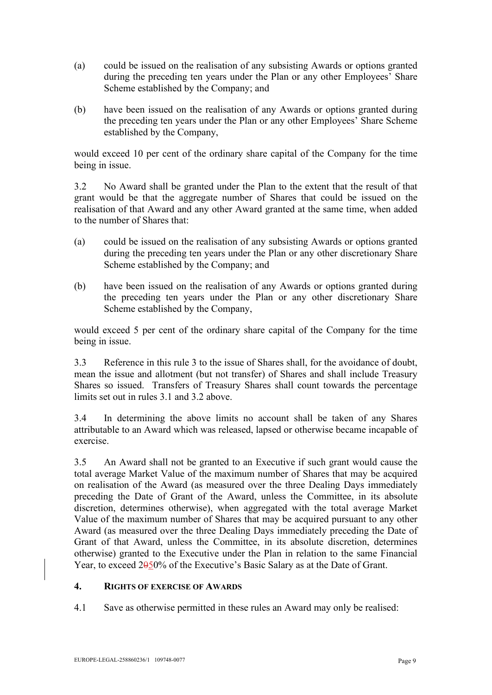- (a) could be issued on the realisation of any subsisting Awards or options granted during the preceding ten years under the Plan or any other Employees' Share Scheme established by the Company; and
- (b) have been issued on the realisation of any Awards or options granted during the preceding ten years under the Plan or any other Employees' Share Scheme established by the Company,

would exceed 10 per cent of the ordinary share capital of the Company for the time being in issue.

<span id="page-8-1"></span>3.2 No Award shall be granted under the Plan to the extent that the result of that grant would be that the aggregate number of Shares that could be issued on the realisation of that Award and any other Award granted at the same time, when added to the number of Shares that:

- (a) could be issued on the realisation of any subsisting Awards or options granted during the preceding ten years under the Plan or any other discretionary Share Scheme established by the Company; and
- (b) have been issued on the realisation of any Awards or options granted during the preceding ten years under the Plan or any other discretionary Share Scheme established by the Company,

would exceed 5 per cent of the ordinary share capital of the Company for the time being in issue.

3.3 Reference in this rule [3](#page-7-1) to the issue of Shares shall, for the avoidance of doubt, mean the issue and allotment (but not transfer) of Shares and shall include Treasury Shares so issued. Transfers of Treasury Shares shall count towards the percentage limits set out in rules [3.1](#page-7-2) and [3.2](#page-8-1) above.

3.4 In determining the above limits no account shall be taken of any Shares attributable to an Award which was released, lapsed or otherwise became incapable of exercise.

3.5 An Award shall not be granted to an Executive if such grant would cause the total average Market Value of the maximum number of Shares that may be acquired on realisation of the Award (as measured over the three Dealing Days immediately preceding the Date of Grant of the Award, unless the Committee, in its absolute discretion, determines otherwise), when aggregated with the total average Market Value of the maximum number of Shares that may be acquired pursuant to any other Award (as measured over the three Dealing Days immediately preceding the Date of Grant of that Award, unless the Committee, in its absolute discretion, determines otherwise) granted to the Executive under the Plan in relation to the same Financial Year, to exceed 2050% of the Executive's Basic Salary as at the Date of Grant.

### <span id="page-8-0"></span>**4. RIGHTS OF EXERCISE OF AWARDS**

4.1 Save as otherwise permitted in these rules an Award may only be realised: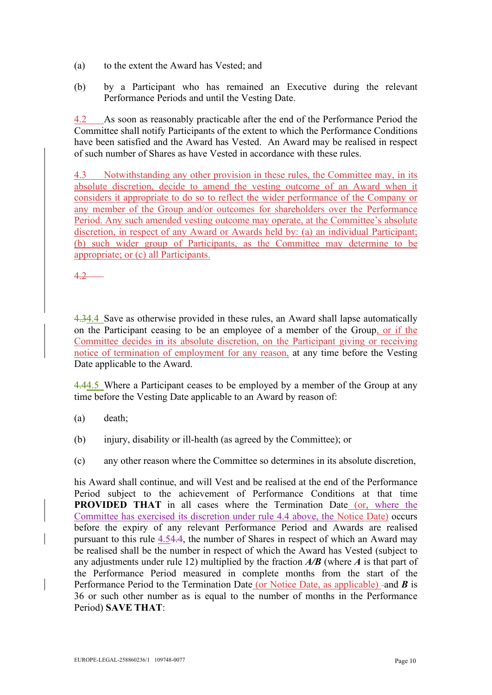- (a) to the extent the Award has Vested; and
- (b) by a Participant who has remained an Executive during the relevant Performance Periods and until the Vesting Date.

4.2 As soon as reasonably practicable after the end of the Performance Period the Committee shall notify Participants of the extent to which the Performance Conditions have been satisfied and the Award has Vested. An Award may be realised in respect of such number of Shares as have Vested in accordance with these rules.

4.3 Notwithstanding any other provision in these rules, the Committee may, in its absolute discretion, decide to amend the vesting outcome of an Award when it considers it appropriate to do so to reflect the wider performance of the Company or any member of the Group and/or outcomes for shareholders over the Performance Period. Any such amended vesting outcome may operate, at the Committee's absolute discretion, in respect of any Award or Awards held by: (a) an individual Participant; (b) such wider group of Participants, as the Committee may determine to be appropriate; or (c) all Participants.

4.2

4.34.4 Save as otherwise provided in these rules, an Award shall lapse automatically on the Participant ceasing to be an employee of a member of the Group, or if the Committee decides in its absolute discretion, on the Participant giving or receiving notice of termination of employment for any reason, at any time before the Vesting Date applicable to the Award.

<span id="page-9-0"></span>4.44.5 Where a Participant ceases to be employed by a member of the Group at any time before the Vesting Date applicable to an Award by reason of:

- (a) death;
- (b) injury, disability or ill-health (as agreed by the Committee); or
- (c) any other reason where the Committee so determines in its absolute discretion,

his Award shall continue, and will Vest and be realised at the end of the Performance Period subject to the achievement of Performance Conditions at that time **PROVIDED THAT** in all cases where the Termination Date (or, where the Committee has exercised its discretion under rule 4.4 above, the Notice Date) occurs before the expiry of any relevant Performance Period and Awards are realised pursuant to this rule [4.54.4,](#page-9-0) the number of Shares in respect of which an Award may be realised shall be the number in respect of which the Award has Vested (subject to any adjustments under rule [12\)](#page-17-2) multiplied by the fraction *A/B* (where *A* is that part of the Performance Period measured in complete months from the start of the Performance Period to the Termination Date (or Notice Date, as applicable) -and *B* is 36 or such other number as is equal to the number of months in the Performance Period) **SAVE THAT**: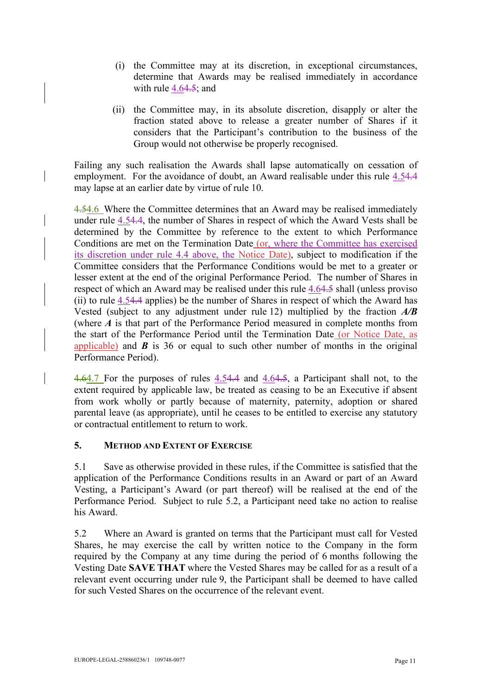- (i) the Committee may at its discretion, in exceptional circumstances, determine that Awards may be realised immediately in accordance with rule [4.64.5;](#page-10-0) and
- <span id="page-10-1"></span>(ii) the Committee may, in its absolute discretion, disapply or alter the fraction stated above to release a greater number of Shares if it considers that the Participant's contribution to the business of the Group would not otherwise be properly recognised.

Failing any such realisation the Awards shall lapse automatically on cessation of employment. For the avoidance of doubt, an Award realisable under this rule [4.54.4](#page-9-0) may lapse at an earlier date by virtue of rule [10.](#page-15-0)

<span id="page-10-0"></span>4.54.6 Where the Committee determines that an Award may be realised immediately under rule [4.54.4,](#page-9-0) the number of Shares in respect of which the Award Vests shall be determined by the Committee by reference to the extent to which Performance Conditions are met on the Termination Date (or, where the Committee has exercised its discretion under rule 4.4 above, the Notice Date), subject to modification if the Committee considers that the Performance Conditions would be met to a greater or lesser extent at the end of the original Performance Period. The number of Shares in respect of which an Award may be realised under this rule [4.64.5](#page-10-0) shall (unless proviso [\(ii\)](#page-10-1) to rule [4.54.4](#page-9-0) applies) be the number of Shares in respect of which the Award has Vested (subject to any adjustment under rule [12\)](#page-17-2) multiplied by the fraction *A/B*  (where *A* is that part of the Performance Period measured in complete months from the start of the Performance Period until the Termination Date (or Notice Date, as applicable) and *B* is 36 or equal to such other number of months in the original Performance Period).

4.64.7 For the purposes of rules [4.54.4](#page-9-0) and [4.64.5,](#page-10-0) a Participant shall not, to the extent required by applicable law, be treated as ceasing to be an Executive if absent from work wholly or partly because of maternity, paternity, adoption or shared parental leave (as appropriate), until he ceases to be entitled to exercise any statutory or contractual entitlement to return to work.

### **5. METHOD AND EXTENT OF EXERCISE**

5.1 Save as otherwise provided in these rules, if the Committee is satisfied that the application of the Performance Conditions results in an Award or part of an Award Vesting, a Participant's Award (or part thereof) will be realised at the end of the Performance Period. Subject to rule [5.2,](#page-10-2) a Participant need take no action to realise his Award.

<span id="page-10-2"></span>5.2 Where an Award is granted on terms that the Participant must call for Vested Shares, he may exercise the call by written notice to the Company in the form required by the Company at any time during the period of 6 months following the Vesting Date **SAVE THAT** where the Vested Shares may be called for as a result of a relevant event occurring under rule [9,](#page-15-1) the Participant shall be deemed to have called for such Vested Shares on the occurrence of the relevant event.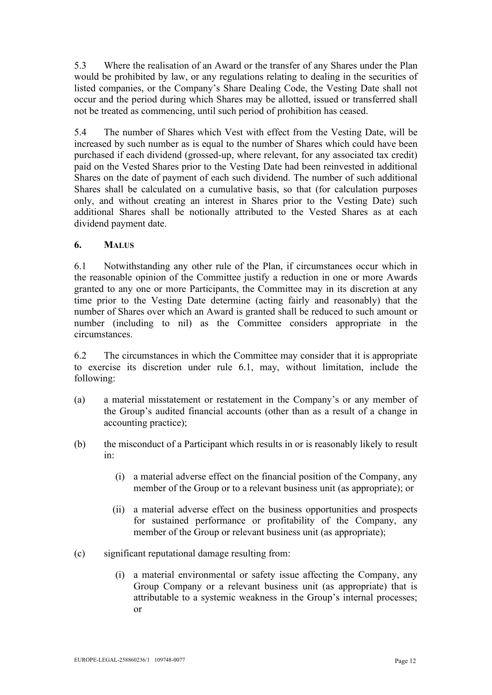5.3 Where the realisation of an Award or the transfer of any Shares under the Plan would be prohibited by law, or any regulations relating to dealing in the securities of listed companies, or the Company's Share Dealing Code, the Vesting Date shall not occur and the period during which Shares may be allotted, issued or transferred shall not be treated as commencing, until such period of prohibition has ceased.

5.4 The number of Shares which Vest with effect from the Vesting Date, will be increased by such number as is equal to the number of Shares which could have been purchased if each dividend (grossed-up, where relevant, for any associated tax credit) paid on the Vested Shares prior to the Vesting Date had been reinvested in additional Shares on the date of payment of each such dividend. The number of such additional Shares shall be calculated on a cumulative basis, so that (for calculation purposes only, and without creating an interest in Shares prior to the Vesting Date) such additional Shares shall be notionally attributed to the Vested Shares as at each dividend payment date.

# **6. MALUS**

<span id="page-11-0"></span>6.1 Notwithstanding any other rule of the Plan, if circumstances occur which in the reasonable opinion of the Committee justify a reduction in one or more Awards granted to any one or more Participants, the Committee may in its discretion at any time prior to the Vesting Date determine (acting fairly and reasonably) that the number of Shares over which an Award is granted shall be reduced to such amount or number (including to nil) as the Committee considers appropriate in the circumstances.

6.2 The circumstances in which the Committee may consider that it is appropriate to exercise its discretion under rule [6.1,](#page-11-0) may, without limitation, include the following:

- (a) a material misstatement or restatement in the Company's or any member of the Group's audited financial accounts (other than as a result of a change in accounting practice);
- <span id="page-11-1"></span>(b) the misconduct of a Participant which results in or is reasonably likely to result in:
	- (i) a material adverse effect on the financial position of the Company, any member of the Group or to a relevant business unit (as appropriate); or
	- (ii) a material adverse effect on the business opportunities and prospects for sustained performance or profitability of the Company, any member of the Group or relevant business unit (as appropriate);
- (c) significant reputational damage resulting from:
	- (i) a material environmental or safety issue affecting the Company, any Group Company or a relevant business unit (as appropriate) that is attributable to a systemic weakness in the Group's internal processes; or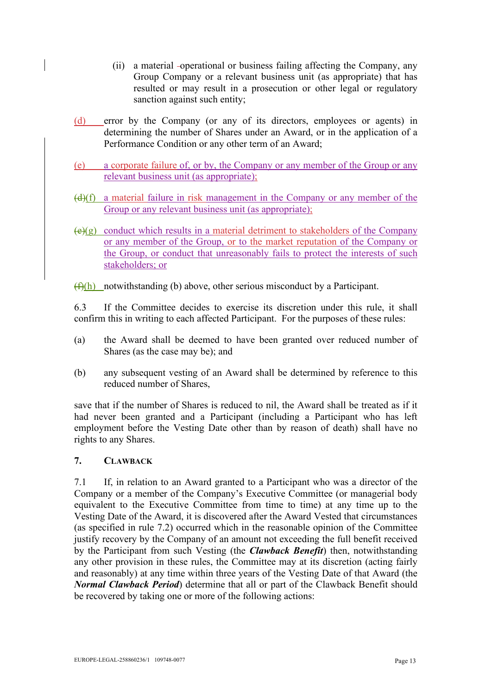- (ii) a material -operational or business failing affecting the Company, any Group Company or a relevant business unit (as appropriate) that has resulted or may result in a prosecution or other legal or regulatory sanction against such entity;
- (d) error by the Company (or any of its directors, employees or agents) in determining the number of Shares under an Award, or in the application of a Performance Condition or any other term of an Award;
- (e) a corporate failure of, or by, the Company or any member of the Group or any relevant business unit (as appropriate);
- $(d)(f)$  a material failure in risk management in the Company or any member of the Group or any relevant business unit (as appropriate);
- $\left(\frac{e}{g}\right)$  conduct which results in a material detriment to stakeholders of the Company or any member of the Group, or to the market reputation of the Company or the Group, or conduct that unreasonably fails to protect the interests of such stakeholders; or
- $(f)(h)$  notwithstanding [\(b\)](#page-11-1) above, other serious misconduct by a Participant.

6.3 If the Committee decides to exercise its discretion under this rule, it shall confirm this in writing to each affected Participant. For the purposes of these rules:

- (a) the Award shall be deemed to have been granted over reduced number of Shares (as the case may be); and
- (b) any subsequent vesting of an Award shall be determined by reference to this reduced number of Shares,

save that if the number of Shares is reduced to nil, the Award shall be treated as if it had never been granted and a Participant (including a Participant who has left employment before the Vesting Date other than by reason of death) shall have no rights to any Shares.

### <span id="page-12-0"></span>**7. CLAWBACK**

<span id="page-12-1"></span>7.1 If, in relation to an Award granted to a Participant who was a director of the Company or a member of the Company's Executive Committee (or managerial body equivalent to the Executive Committee from time to time) at any time up to the Vesting Date of the Award, it is discovered after the Award Vested that circumstances (as specified in rule [7.2\)](#page-13-1) occurred which in the reasonable opinion of the Committee justify recovery by the Company of an amount not exceeding the full benefit received by the Participant from such Vesting (the *Clawback Benefit*) then, notwithstanding any other provision in these rules, the Committee may at its discretion (acting fairly and reasonably) at any time within three years of the Vesting Date of that Award (the *Normal Clawback Period*) determine that all or part of the Clawback Benefit should be recovered by taking one or more of the following actions: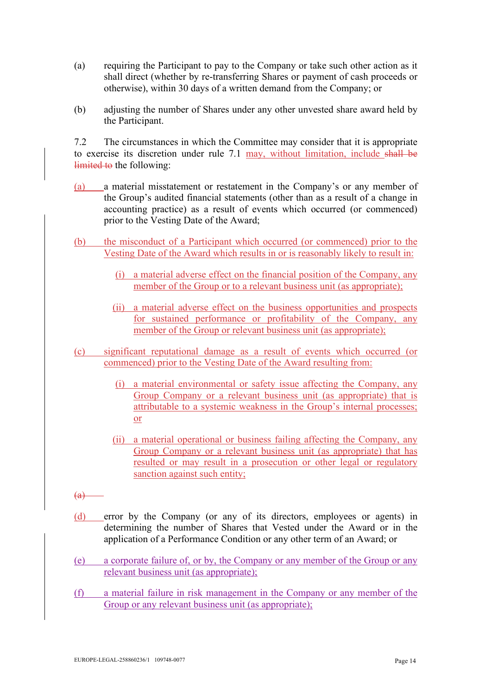- <span id="page-13-0"></span>(a) requiring the Participant to pay to the Company or take such other action as it shall direct (whether by re-transferring Shares or payment of cash proceeds or otherwise), within 30 days of a written demand from the Company; or
- <span id="page-13-2"></span>(b) adjusting the number of Shares under any other unvested share award held by the Participant.

<span id="page-13-1"></span>7.2 The circumstances in which the Committee may consider that it is appropriate to exercise its discretion under rule [7.1](#page-12-1) may, without limitation, include shall be limited to the following:

- (a) a material misstatement or restatement in the Company's or any member of the Group's audited financial statements (other than as a result of a change in accounting practice) as a result of events which occurred (or commenced) prior to the Vesting Date of the Award;
- (b) the misconduct of a Participant which occurred (or commenced) prior to the Vesting Date of the Award which results in or is reasonably likely to result in:
	- (i) a material adverse effect on the financial position of the Company, any member of the Group or to a relevant business unit (as appropriate);
	- (ii) a material adverse effect on the business opportunities and prospects for sustained performance or profitability of the Company, any member of the Group or relevant business unit (as appropriate);
- (c) significant reputational damage as a result of events which occurred (or commenced) prior to the Vesting Date of the Award resulting from:
	- (i) a material environmental or safety issue affecting the Company, any Group Company or a relevant business unit (as appropriate) that is attributable to a systemic weakness in the Group's internal processes; or
	- (ii) a material operational or business failing affecting the Company, any Group Company or a relevant business unit (as appropriate) that has resulted or may result in a prosecution or other legal or regulatory sanction against such entity;
- $(a)$
- (d) error by the Company (or any of its directors, employees or agents) in determining the number of Shares that Vested under the Award or in the application of a Performance Condition or any other term of an Award; or
- (e) a corporate failure of, or by, the Company or any member of the Group or any relevant business unit (as appropriate);
- (f) a material failure in risk management in the Company or any member of the Group or any relevant business unit (as appropriate);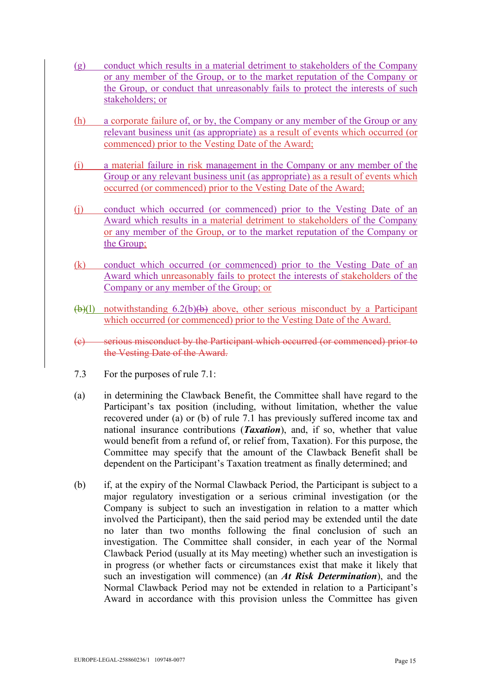- (g) conduct which results in a material detriment to stakeholders of the Company or any member of the Group, or to the market reputation of the Company or the Group, or conduct that unreasonably fails to protect the interests of such stakeholders; or
- (h) a corporate failure of, or by, the Company or any member of the Group or any relevant business unit (as appropriate) as a result of events which occurred (or commenced) prior to the Vesting Date of the Award;
- (i) a material failure in risk management in the Company or any member of the Group or any relevant business unit (as appropriate) as a result of events which occurred (or commenced) prior to the Vesting Date of the Award;
- (j) conduct which occurred (or commenced) prior to the Vesting Date of an Award which results in a material detriment to stakeholders of the Company or any member of the Group, or to the market reputation of the Company or the Group;
- (k) conduct which occurred (or commenced) prior to the Vesting Date of an Award which unreasonably fails to protect the interests of stakeholders of the Company or any member of the Group; or
- $(b)(1)$  notwithstanding [6.2\(b\)\(b\)](#page-11-1) above, other serious misconduct by a Participant which occurred (or commenced) prior to the Vesting Date of the Award.
- (c) serious misconduct by the Participant which occurred (or commenced) prior to the Vesting Date of the Award.
- 7.3 For the purposes of rule [7.1:](#page-12-1)
- (a) in determining the Clawback Benefit, the Committee shall have regard to the Participant's tax position (including, without limitation, whether the value recovered under [\(a\)](#page-13-0) or [\(b\)](#page-13-2) of rule [7.1](#page-12-1) has previously suffered income tax and national insurance contributions (*Taxation*), and, if so, whether that value would benefit from a refund of, or relief from, Taxation). For this purpose, the Committee may specify that the amount of the Clawback Benefit shall be dependent on the Participant's Taxation treatment as finally determined; and
- (b) if, at the expiry of the Normal Clawback Period, the Participant is subject to a major regulatory investigation or a serious criminal investigation (or the Company is subject to such an investigation in relation to a matter which involved the Participant), then the said period may be extended until the date no later than two months following the final conclusion of such an investigation. The Committee shall consider, in each year of the Normal Clawback Period (usually at its May meeting) whether such an investigation is in progress (or whether facts or circumstances exist that make it likely that such an investigation will commence) (an *At Risk Determination*), and the Normal Clawback Period may not be extended in relation to a Participant's Award in accordance with this provision unless the Committee has given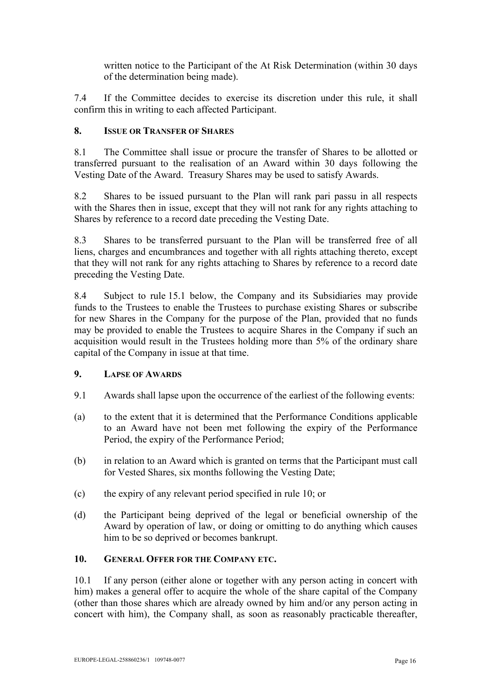written notice to the Participant of the At Risk Determination (within 30 days of the determination being made).

7.4 If the Committee decides to exercise its discretion under this rule, it shall confirm this in writing to each affected Participant.

## **8. ISSUE OR TRANSFER OF SHARES**

8.1 The Committee shall issue or procure the transfer of Shares to be allotted or transferred pursuant to the realisation of an Award within 30 days following the Vesting Date of the Award. Treasury Shares may be used to satisfy Awards.

8.2 Shares to be issued pursuant to the Plan will rank pari passu in all respects with the Shares then in issue, except that they will not rank for any rights attaching to Shares by reference to a record date preceding the Vesting Date.

8.3 Shares to be transferred pursuant to the Plan will be transferred free of all liens, charges and encumbrances and together with all rights attaching thereto, except that they will not rank for any rights attaching to Shares by reference to a record date preceding the Vesting Date.

8.4 Subject to rule [15.1 below,](#page-19-0) the Company and its Subsidiaries may provide funds to the Trustees to enable the Trustees to purchase existing Shares or subscribe for new Shares in the Company for the purpose of the Plan, provided that no funds may be provided to enable the Trustees to acquire Shares in the Company if such an acquisition would result in the Trustees holding more than 5% of the ordinary share capital of the Company in issue at that time.

### <span id="page-15-1"></span>**9. LAPSE OF AWARDS**

- 9.1 Awards shall lapse upon the occurrence of the earliest of the following events:
- (a) to the extent that it is determined that the Performance Conditions applicable to an Award have not been met following the expiry of the Performance Period, the expiry of the Performance Period;
- (b) in relation to an Award which is granted on terms that the Participant must call for Vested Shares, six months following the Vesting Date;
- (c) the expiry of any relevant period specified in rule [10;](#page-15-0) or
- (d) the Participant being deprived of the legal or beneficial ownership of the Award by operation of law, or doing or omitting to do anything which causes him to be so deprived or becomes bankrupt.

### <span id="page-15-0"></span>**10. GENERAL OFFER FOR THE COMPANY ETC.**

<span id="page-15-2"></span>10.1 If any person (either alone or together with any person acting in concert with him) makes a general offer to acquire the whole of the share capital of the Company (other than those shares which are already owned by him and/or any person acting in concert with him), the Company shall, as soon as reasonably practicable thereafter,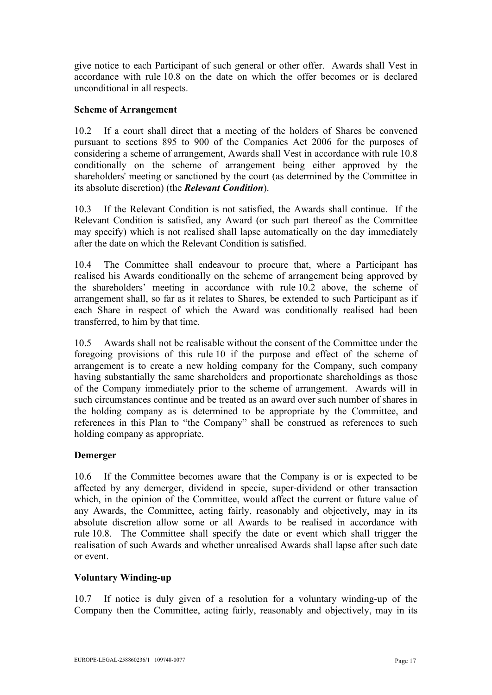give notice to each Participant of such general or other offer. Awards shall Vest in accordance with rule [10.8](#page-17-0) on the date on which the offer becomes or is declared unconditional in all respects.

### **Scheme of Arrangement**

<span id="page-16-0"></span>10.2 If a court shall direct that a meeting of the holders of Shares be convened pursuant to sections 895 to 900 of the Companies Act 2006 for the purposes of considering a scheme of arrangement, Awards shall Vest in accordance with rule [10.8](#page-17-0) conditionally on the scheme of arrangement being either approved by the shareholders' meeting or sanctioned by the court (as determined by the Committee in its absolute discretion) (the *Relevant Condition*).

10.3 If the Relevant Condition is not satisfied, the Awards shall continue. If the Relevant Condition is satisfied, any Award (or such part thereof as the Committee may specify) which is not realised shall lapse automatically on the day immediately after the date on which the Relevant Condition is satisfied.

10.4 The Committee shall endeavour to procure that, where a Participant has realised his Awards conditionally on the scheme of arrangement being approved by the shareholders' meeting in accordance with rule [10.2](#page-16-0) above, the scheme of arrangement shall, so far as it relates to Shares, be extended to such Participant as if each Share in respect of which the Award was conditionally realised had been transferred, to him by that time.

10.5 Awards shall not be realisable without the consent of the Committee under the foregoing provisions of this rule [10](#page-15-0) if the purpose and effect of the scheme of arrangement is to create a new holding company for the Company, such company having substantially the same shareholders and proportionate shareholdings as those of the Company immediately prior to the scheme of arrangement. Awards will in such circumstances continue and be treated as an award over such number of shares in the holding company as is determined to be appropriate by the Committee, and references in this Plan to "the Company" shall be construed as references to such holding company as appropriate.

# **Demerger**

10.6 If the Committee becomes aware that the Company is or is expected to be affected by any demerger, dividend in specie, super-dividend or other transaction which, in the opinion of the Committee, would affect the current or future value of any Awards, the Committee, acting fairly, reasonably and objectively, may in its absolute discretion allow some or all Awards to be realised in accordance with rule [10.8.](#page-17-0) The Committee shall specify the date or event which shall trigger the realisation of such Awards and whether unrealised Awards shall lapse after such date or event.

# **Voluntary Winding-up**

<span id="page-16-1"></span>10.7 If notice is duly given of a resolution for a voluntary winding-up of the Company then the Committee, acting fairly, reasonably and objectively, may in its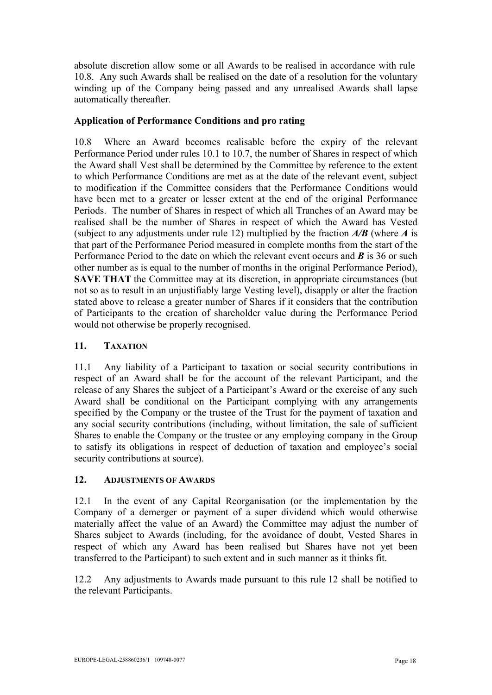absolute discretion allow some or all Awards to be realised in accordance with rule [10.8.](#page-17-0) Any such Awards shall be realised on the date of a resolution for the voluntary winding up of the Company being passed and any unrealised Awards shall lapse automatically thereafter.

## **Application of Performance Conditions and pro rating**

<span id="page-17-0"></span>10.8 Where an Award becomes realisable before the expiry of the relevant Performance Period under rules [10.1](#page-15-2) to [10.7,](#page-16-1) the number of Shares in respect of which the Award shall Vest shall be determined by the Committee by reference to the extent to which Performance Conditions are met as at the date of the relevant event, subject to modification if the Committee considers that the Performance Conditions would have been met to a greater or lesser extent at the end of the original Performance Periods. The number of Shares in respect of which all Tranches of an Award may be realised shall be the number of Shares in respect of which the Award has Vested (subject to any adjustments under rule [12\)](#page-17-2) multiplied by the fraction *A/B* (where *A* is that part of the Performance Period measured in complete months from the start of the Performance Period to the date on which the relevant event occurs and *B* is 36 or such other number as is equal to the number of months in the original Performance Period), **SAVE THAT** the Committee may at its discretion, in appropriate circumstances (but not so as to result in an unjustifiably large Vesting level), disapply or alter the fraction stated above to release a greater number of Shares if it considers that the contribution of Participants to the creation of shareholder value during the Performance Period would not otherwise be properly recognised.

## **11. TAXATION**

11.1 Any liability of a Participant to taxation or social security contributions in respect of an Award shall be for the account of the relevant Participant, and the release of any Shares the subject of a Participant's Award or the exercise of any such Award shall be conditional on the Participant complying with any arrangements specified by the Company or the trustee of the Trust for the payment of taxation and any social security contributions (including, without limitation, the sale of sufficient Shares to enable the Company or the trustee or any employing company in the Group to satisfy its obligations in respect of deduction of taxation and employee's social security contributions at source).

### <span id="page-17-2"></span>**12. ADJUSTMENTS OF AWARDS**

<span id="page-17-1"></span>12.1 In the event of any Capital Reorganisation (or the implementation by the Company of a demerger or payment of a super dividend which would otherwise materially affect the value of an Award) the Committee may adjust the number of Shares subject to Awards (including, for the avoidance of doubt, Vested Shares in respect of which any Award has been realised but Shares have not yet been transferred to the Participant) to such extent and in such manner as it thinks fit.

12.2 Any adjustments to Awards made pursuant to this rule [12](#page-17-2) shall be notified to the relevant Participants.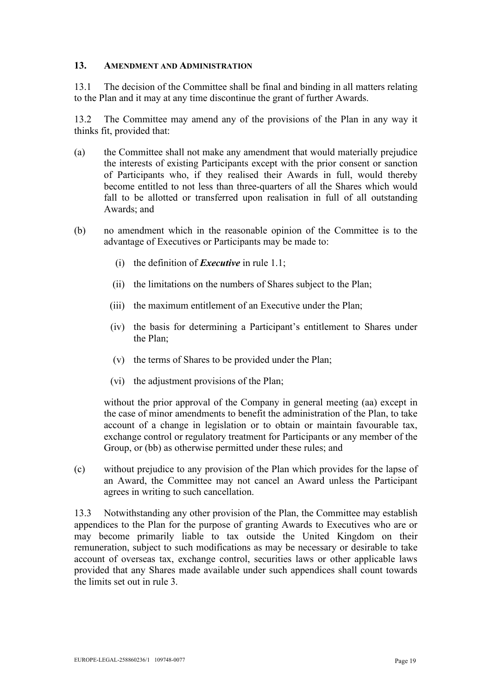#### **13. AMENDMENT AND ADMINISTRATION**

13.1 The decision of the Committee shall be final and binding in all matters relating to the Plan and it may at any time discontinue the grant of further Awards.

13.2 The Committee may amend any of the provisions of the Plan in any way it thinks fit, provided that:

- (a) the Committee shall not make any amendment that would materially prejudice the interests of existing Participants except with the prior consent or sanction of Participants who, if they realised their Awards in full, would thereby become entitled to not less than three-quarters of all the Shares which would fall to be allotted or transferred upon realisation in full of all outstanding Awards; and
- (b) no amendment which in the reasonable opinion of the Committee is to the advantage of Executives or Participants may be made to:
	- (i) the definition of *Executive* in rule [1.1;](#page-3-0)
	- (ii) the limitations on the numbers of Shares subject to the Plan;
	- (iii) the maximum entitlement of an Executive under the Plan;
	- (iv) the basis for determining a Participant's entitlement to Shares under the Plan;
	- (v) the terms of Shares to be provided under the Plan;
	- (vi) the adjustment provisions of the Plan;

without the prior approval of the Company in general meeting (aa) except in the case of minor amendments to benefit the administration of the Plan, to take account of a change in legislation or to obtain or maintain favourable tax, exchange control or regulatory treatment for Participants or any member of the Group, or (bb) as otherwise permitted under these rules; and

(c) without prejudice to any provision of the Plan which provides for the lapse of an Award, the Committee may not cancel an Award unless the Participant agrees in writing to such cancellation.

13.3 Notwithstanding any other provision of the Plan, the Committee may establish appendices to the Plan for the purpose of granting Awards to Executives who are or may become primarily liable to tax outside the United Kingdom on their remuneration, subject to such modifications as may be necessary or desirable to take account of overseas tax, exchange control, securities laws or other applicable laws provided that any Shares made available under such appendices shall count towards the limits set out in rule [3.](#page-7-1)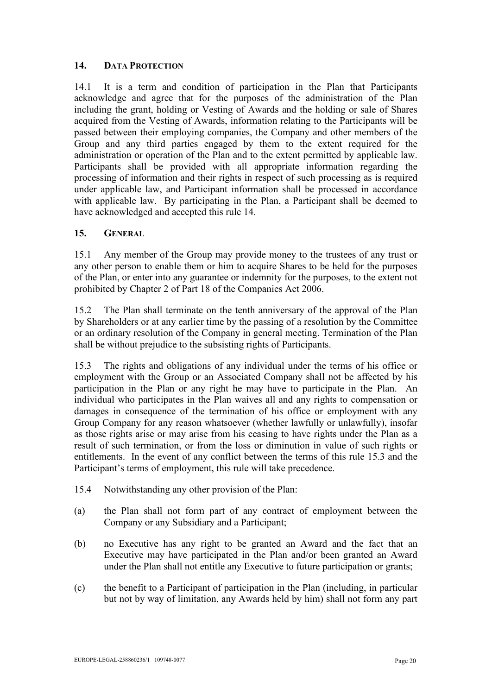## <span id="page-19-1"></span>**14. DATA PROTECTION**

14.1 It is a term and condition of participation in the Plan that Participants acknowledge and agree that for the purposes of the administration of the Plan including the grant, holding or Vesting of Awards and the holding or sale of Shares acquired from the Vesting of Awards, information relating to the Participants will be passed between their employing companies, the Company and other members of the Group and any third parties engaged by them to the extent required for the administration or operation of the Plan and to the extent permitted by applicable law. Participants shall be provided with all appropriate information regarding the processing of information and their rights in respect of such processing as is required under applicable law, and Participant information shall be processed in accordance with applicable law. By participating in the Plan, a Participant shall be deemed to have acknowledged and accepted this rule [14.](#page-19-1)

## **15. GENERAL**

<span id="page-19-0"></span>15.1 Any member of the Group may provide money to the trustees of any trust or any other person to enable them or him to acquire Shares to be held for the purposes of the Plan, or enter into any guarantee or indemnity for the purposes, to the extent not prohibited by Chapter 2 of Part 18 of the Companies Act 2006.

15.2 The Plan shall terminate on the tenth anniversary of the approval of the Plan by Shareholders or at any earlier time by the passing of a resolution by the Committee or an ordinary resolution of the Company in general meeting. Termination of the Plan shall be without prejudice to the subsisting rights of Participants.

<span id="page-19-2"></span>15.3 The rights and obligations of any individual under the terms of his office or employment with the Group or an Associated Company shall not be affected by his participation in the Plan or any right he may have to participate in the Plan. An individual who participates in the Plan waives all and any rights to compensation or damages in consequence of the termination of his office or employment with any Group Company for any reason whatsoever (whether lawfully or unlawfully), insofar as those rights arise or may arise from his ceasing to have rights under the Plan as a result of such termination, or from the loss or diminution in value of such rights or entitlements. In the event of any conflict between the terms of this rule [15.3](#page-19-2) and the Participant's terms of employment, this rule will take precedence.

- <span id="page-19-3"></span>15.4 Notwithstanding any other provision of the Plan:
- (a) the Plan shall not form part of any contract of employment between the Company or any Subsidiary and a Participant;
- (b) no Executive has any right to be granted an Award and the fact that an Executive may have participated in the Plan and/or been granted an Award under the Plan shall not entitle any Executive to future participation or grants;
- (c) the benefit to a Participant of participation in the Plan (including, in particular but not by way of limitation, any Awards held by him) shall not form any part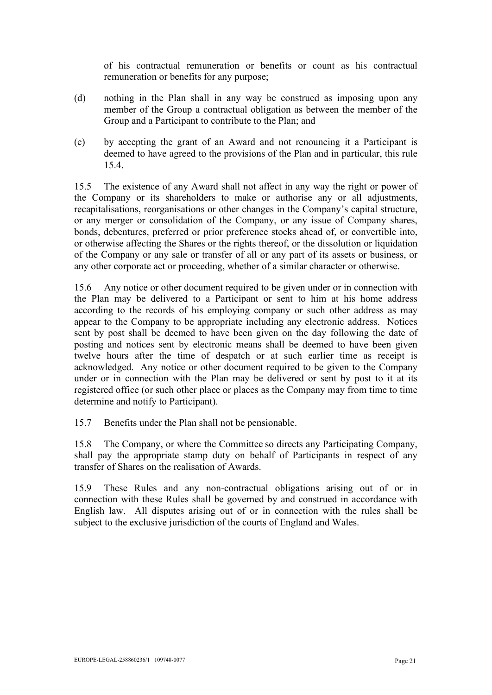of his contractual remuneration or benefits or count as his contractual remuneration or benefits for any purpose;

- (d) nothing in the Plan shall in any way be construed as imposing upon any member of the Group a contractual obligation as between the member of the Group and a Participant to contribute to the Plan; and
- (e) by accepting the grant of an Award and not renouncing it a Participant is deemed to have agreed to the provisions of the Plan and in particular, this rule [15.4.](#page-19-3)

15.5 The existence of any Award shall not affect in any way the right or power of the Company or its shareholders to make or authorise any or all adjustments, recapitalisations, reorganisations or other changes in the Company's capital structure, or any merger or consolidation of the Company, or any issue of Company shares, bonds, debentures, preferred or prior preference stocks ahead of, or convertible into, or otherwise affecting the Shares or the rights thereof, or the dissolution or liquidation of the Company or any sale or transfer of all or any part of its assets or business, or any other corporate act or proceeding, whether of a similar character or otherwise.

15.6 Any notice or other document required to be given under or in connection with the Plan may be delivered to a Participant or sent to him at his home address according to the records of his employing company or such other address as may appear to the Company to be appropriate including any electronic address. Notices sent by post shall be deemed to have been given on the day following the date of posting and notices sent by electronic means shall be deemed to have been given twelve hours after the time of despatch or at such earlier time as receipt is acknowledged. Any notice or other document required to be given to the Company under or in connection with the Plan may be delivered or sent by post to it at its registered office (or such other place or places as the Company may from time to time determine and notify to Participant).

15.7 Benefits under the Plan shall not be pensionable.

15.8 The Company, or where the Committee so directs any Participating Company, shall pay the appropriate stamp duty on behalf of Participants in respect of any transfer of Shares on the realisation of Awards.

15.9 These Rules and any non-contractual obligations arising out of or in connection with these Rules shall be governed by and construed in accordance with English law. All disputes arising out of or in connection with the rules shall be subject to the exclusive jurisdiction of the courts of England and Wales.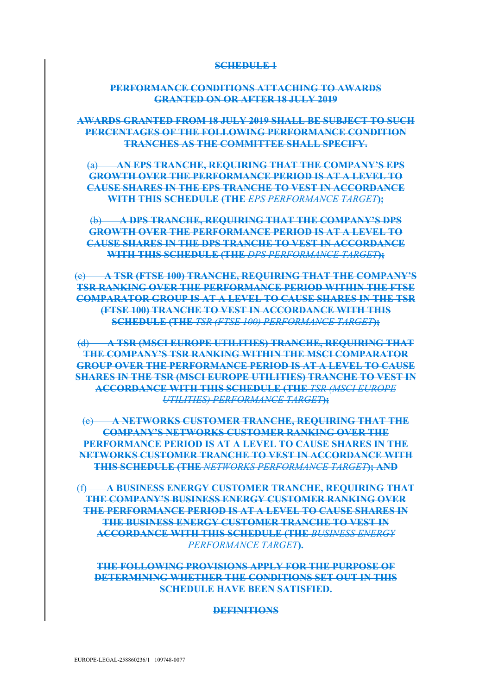#### **SCHEDULE 1**

### **PERFORMANCE CONDITIONS ATTACHING TO AWARDS GRANTED ON OR AFTER 18 JULY 2019**

**AWARDS GRANTED FROM 18 JULY 2019 SHALL BE SUBJECT TO SUCH PERCENTAGES OF THE FOLLOWING PERFORMANCE CONDITION TRANCHES AS THE COMMITTEE SHALL SPECIFY.** 

(a) **AN EPS TRANCHE, REQUIRING THAT THE COMPANY'S EPS GROWTH OVER THE PERFORMANCE PERIOD IS AT A LEVEL TO CAUSE SHARES IN THE EPS TRANCHE TO VEST IN ACCORDANCE WITH THIS SCHEDULE (THE** *EPS PERFORMANCE TARGET***);** 

(b) **A DPS TRANCHE, REQUIRING THAT THE COMPANY'S DPS GROWTH OVER THE PERFORMANCE PERIOD IS AT A LEVEL TO CAUSE SHARES IN THE DPS TRANCHE TO VEST IN ACCORDANCE WITH THIS SCHEDULE (THE** *DPS PERFORMANCE TARGET***);**

(c) **A TSR (FTSE 100) TRANCHE, REQUIRING THAT THE COMPANY'S TSR RANKING OVER THE PERFORMANCE PERIOD WITHIN THE FTSE COMPARATOR GROUP IS AT A LEVEL TO CAUSE SHARES IN THE TSR (FTSE 100) TRANCHE TO VEST IN ACCORDANCE WITH THIS SCHEDULE (THE** *TSR (FTSE 100) PERFORMANCE TARGET***);** 

(d) **A TSR (MSCI EUROPE UTILITIES) TRANCHE, REQUIRING THAT THE COMPANY'S TSR RANKING WITHIN THE MSCI COMPARATOR GROUP OVER THE PERFORMANCE PERIOD IS AT A LEVEL TO CAUSE SHARES IN THE TSR (MSCI EUROPE UTILITIES) TRANCHE TO VEST IN ACCORDANCE WITH THIS SCHEDULE (THE** *TSR (MSCI EUROPE UTILITIES) PERFORMANCE TARGET***);** 

(e) **A NETWORKS CUSTOMER TRANCHE, REQUIRING THAT THE COMPANY'S NETWORKS CUSTOMER RANKING OVER THE PERFORMANCE PERIOD IS AT A LEVEL TO CAUSE SHARES IN THE NETWORKS CUSTOMER TRANCHE TO VEST IN ACCORDANCE WITH THIS SCHEDULE (THE** *NETWORKS PERFORMANCE TARGET***); AND**

(f) **A BUSINESS ENERGY CUSTOMER TRANCHE, REQUIRING THAT THE COMPANY'S BUSINESS ENERGY CUSTOMER RANKING OVER THE PERFORMANCE PERIOD IS AT A LEVEL TO CAUSE SHARES IN THE BUSINESS ENERGY CUSTOMER TRANCHE TO VEST IN ACCORDANCE WITH THIS SCHEDULE (THE** *BUSINESS ENERGY PERFORMANCE TARGET***).**

**THE FOLLOWING PROVISIONS APPLY FOR THE PURPOSE OF DETERMINING WHETHER THE CONDITIONS SET OUT IN THIS SCHEDULE HAVE BEEN SATISFIED.**

#### **DEFINITIONS**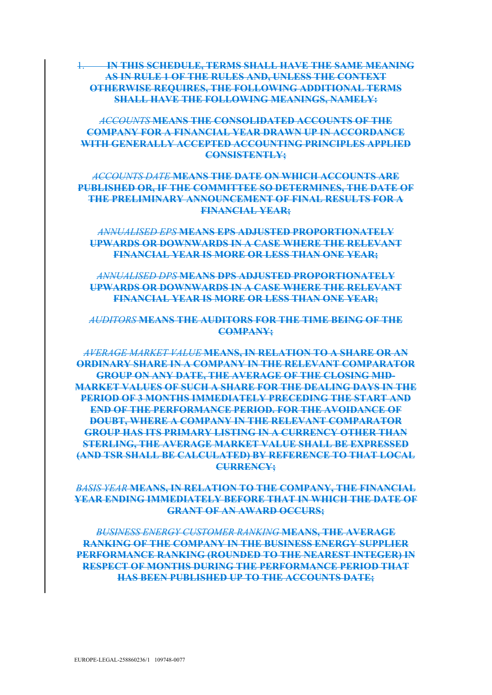1. **IN THIS SCHEDULE, TERMS SHALL HAVE THE SAME MEANING AS IN RULE 1 OF THE RULES AND, UNLESS THE CONTEXT OTHERWISE REQUIRES, THE FOLLOWING ADDITIONAL TERMS SHALL HAVE THE FOLLOWING MEANINGS, NAMELY:**

*ACCOUNTS* **MEANS THE CONSOLIDATED ACCOUNTS OF THE COMPANY FOR A FINANCIAL YEAR DRAWN UP IN ACCORDANCE WITH GENERALLY ACCEPTED ACCOUNTING PRINCIPLES APPLIED CONSISTENTLY;**

*ACCOUNTS DATE* **MEANS THE DATE ON WHICH ACCOUNTS ARE PUBLISHED OR, IF THE COMMITTEE SO DETERMINES, THE DATE OF THE PRELIMINARY ANNOUNCEMENT OF FINAL RESULTS FOR A FINANCIAL YEAR;**

*ANNUALISED EPS* **MEANS EPS ADJUSTED PROPORTIONATELY UPWARDS OR DOWNWARDS IN A CASE WHERE THE RELEVANT FINANCIAL YEAR IS MORE OR LESS THAN ONE YEAR;**

*ANNUALISED DPS* **MEANS DPS ADJUSTED PROPORTIONATELY UPWARDS OR DOWNWARDS IN A CASE WHERE THE RELEVANT FINANCIAL YEAR IS MORE OR LESS THAN ONE YEAR;**

*AUDITORS* **MEANS THE AUDITORS FOR THE TIME BEING OF THE COMPANY;**

*AVERAGE MARKET VALUE* **MEANS, IN RELATION TO A SHARE OR AN ORDINARY SHARE IN A COMPANY IN THE RELEVANT COMPARATOR GROUP ON ANY DATE, THE AVERAGE OF THE CLOSING MID-MARKET VALUES OF SUCH A SHARE FOR THE DEALING DAYS IN THE PERIOD OF 3 MONTHS IMMEDIATELY PRECEDING THE START AND END OF THE PERFORMANCE PERIOD. FOR THE AVOIDANCE OF DOUBT, WHERE A COMPANY IN THE RELEVANT COMPARATOR GROUP HAS ITS PRIMARY LISTING IN A CURRENCY OTHER THAN STERLING, THE AVERAGE MARKET VALUE SHALL BE EXPRESSED (AND TSR SHALL BE CALCULATED) BY REFERENCE TO THAT LOCAL CURRENCY;** 

*BASIS YEAR* **MEANS, IN RELATION TO THE COMPANY, THE FINANCIAL YEAR ENDING IMMEDIATELY BEFORE THAT IN WHICH THE DATE OF GRANT OF AN AWARD OCCURS;**

*BUSINESS ENERGY CUSTOMER RANKING* **MEANS, THE AVERAGE RANKING OF THE COMPANY IN THE BUSINESS ENERGY SUPPLIER PERFORMANCE RANKING (ROUNDED TO THE NEAREST INTEGER) IN RESPECT OF MONTHS DURING THE PERFORMANCE PERIOD THAT HAS BEEN PUBLISHED UP TO THE ACCOUNTS DATE;**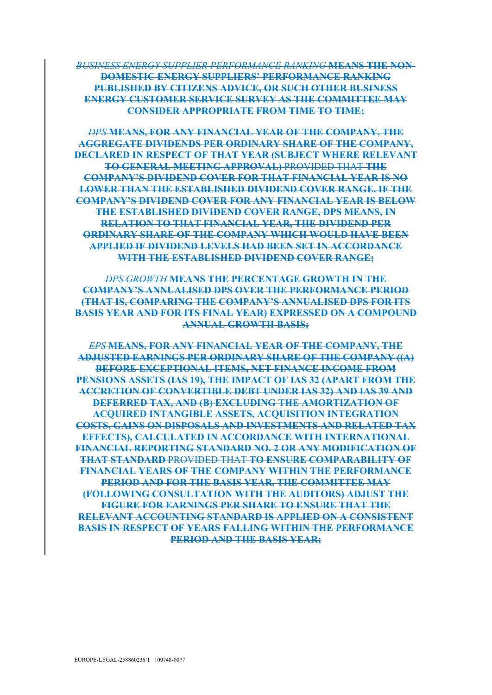*BUSINESS ENERGY SUPPLIER PERFORMANCE RANKING* **MEANS THE NON-DOMESTIC ENERGY SUPPLIERS' PERFORMANCE RANKING PUBLISHED BY CITIZENS ADVICE, OR SUCH OTHER BUSINESS ENERGY CUSTOMER SERVICE SURVEY AS THE COMMITTEE MAY CONSIDER APPROPRIATE FROM TIME TO TIME;**

*DPS* **MEANS, FOR ANY FINANCIAL YEAR OF THE COMPANY, THE AGGREGATE DIVIDENDS PER ORDINARY SHARE OF THE COMPANY, DECLARED IN RESPECT OF THAT YEAR (SUBJECT WHERE RELEVANT TO GENERAL MEETING APPROVAL)** PROVIDED THAT **THE COMPANY'S DIVIDEND COVER FOR THAT FINANCIAL YEAR IS NO LOWER THAN THE ESTABLISHED DIVIDEND COVER RANGE. IF THE COMPANY'S DIVIDEND COVER FOR ANY FINANCIAL YEAR IS BELOW THE ESTABLISHED DIVIDEND COVER RANGE, DPS MEANS, IN RELATION TO THAT FINANCIAL YEAR, THE DIVIDEND PER ORDINARY SHARE OF THE COMPANY WHICH WOULD HAVE BEEN APPLIED IF DIVIDEND LEVELS HAD BEEN SET IN ACCORDANCE WITH THE ESTABLISHED DIVIDEND COVER RANGE;** 

*DPS GROWTH* **MEANS THE PERCENTAGE GROWTH IN THE COMPANY'S ANNUALISED DPS OVER THE PERFORMANCE PERIOD (THAT IS, COMPARING THE COMPANY'S ANNUALISED DPS FOR ITS BASIS YEAR AND FOR ITS FINAL YEAR) EXPRESSED ON A COMPOUND ANNUAL GROWTH BASIS;**

*EPS* **MEANS, FOR ANY FINANCIAL YEAR OF THE COMPANY, THE ADJUSTED EARNINGS PER ORDINARY SHARE OF THE COMPANY ((A) BEFORE EXCEPTIONAL ITEMS, NET FINANCE INCOME FROM PENSIONS ASSETS (IAS 19), THE IMPACT OF IAS 32 (APART FROM THE ACCRETION OF CONVERTIBLE DEBT UNDER IAS 32) AND IAS 39 AND DEFERRED TAX, AND (B) EXCLUDING THE AMORTIZATION OF ACQUIRED INTANGIBLE ASSETS, ACQUISITION INTEGRATION COSTS, GAINS ON DISPOSALS AND INVESTMENTS AND RELATED TAX EFFECTS), CALCULATED IN ACCORDANCE WITH INTERNATIONAL FINANCIAL REPORTING STANDARD NO. 2 OR ANY MODIFICATION OF THAT STANDARD** PROVIDED THAT **TO ENSURE COMPARABILITY OF FINANCIAL YEARS OF THE COMPANY WITHIN THE PERFORMANCE PERIOD AND FOR THE BASIS YEAR, THE COMMITTEE MAY (FOLLOWING CONSULTATION WITH THE AUDITORS) ADJUST THE FIGURE FOR EARNINGS PER SHARE TO ENSURE THAT THE RELEVANT ACCOUNTING STANDARD IS APPLIED ON A CONSISTENT BASIS IN RESPECT OF YEARS FALLING WITHIN THE PERFORMANCE PERIOD AND THE BASIS YEAR;**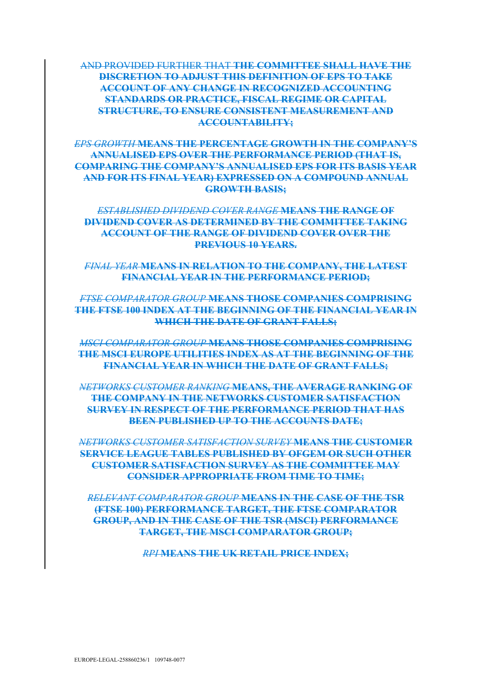### AND PROVIDED FURTHER THAT **THE COMMITTEE SHALL HAVE THE DISCRETION TO ADJUST THIS DEFINITION OF EPS TO TAKE ACCOUNT OF ANY CHANGE IN RECOGNIZED ACCOUNTING STANDARDS OR PRACTICE, FISCAL REGIME OR CAPITAL STRUCTURE, TO ENSURE CONSISTENT MEASUREMENT AND ACCOUNTABILITY;**

*EPS GROWTH* **MEANS THE PERCENTAGE GROWTH IN THE COMPANY'S ANNUALISED EPS OVER THE PERFORMANCE PERIOD (THAT IS, COMPARING THE COMPANY'S ANNUALISED EPS FOR ITS BASIS YEAR AND FOR ITS FINAL YEAR) EXPRESSED ON A COMPOUND ANNUAL GROWTH BASIS;**

*ESTABLISHED DIVIDEND COVER RANGE* **MEANS THE RANGE OF DIVIDEND COVER AS DETERMINED BY THE COMMITTEE TAKING ACCOUNT OF THE RANGE OF DIVIDEND COVER OVER THE PREVIOUS 10 YEARS.**

*FINAL YEAR* **MEANS IN RELATION TO THE COMPANY, THE LATEST FINANCIAL YEAR IN THE PERFORMANCE PERIOD;** 

*FTSE COMPARATOR GROUP* **MEANS THOSE COMPANIES COMPRISING THE FTSE 100 INDEX AT THE BEGINNING OF THE FINANCIAL YEAR IN WHICH THE DATE OF GRANT FALLS;** 

*MSCI COMPARATOR GROUP* **MEANS THOSE COMPANIES COMPRISING THE MSCI EUROPE UTILITIES INDEX AS AT THE BEGINNING OF THE FINANCIAL YEAR IN WHICH THE DATE OF GRANT FALLS;** 

*NETWORKS CUSTOMER RANKING* **MEANS, THE AVERAGE RANKING OF THE COMPANY IN THE NETWORKS CUSTOMER SATISFACTION SURVEY IN RESPECT OF THE PERFORMANCE PERIOD THAT HAS BEEN PUBLISHED UP TO THE ACCOUNTS DATE;**

*NETWORKS CUSTOMER SATISFACTION SURVEY* **MEANS THE CUSTOMER SERVICE LEAGUE TABLES PUBLISHED BY OFGEM OR SUCH OTHER CUSTOMER SATISFACTION SURVEY AS THE COMMITTEE MAY CONSIDER APPROPRIATE FROM TIME TO TIME;** 

*RELEVANT COMPARATOR GROUP* **MEANS IN THE CASE OF THE TSR (FTSE 100) PERFORMANCE TARGET, THE FTSE COMPARATOR GROUP, AND IN THE CASE OF THE TSR (MSCI) PERFORMANCE TARGET, THE MSCI COMPARATOR GROUP;**

*RPI* **MEANS THE UK RETAIL PRICE INDEX;**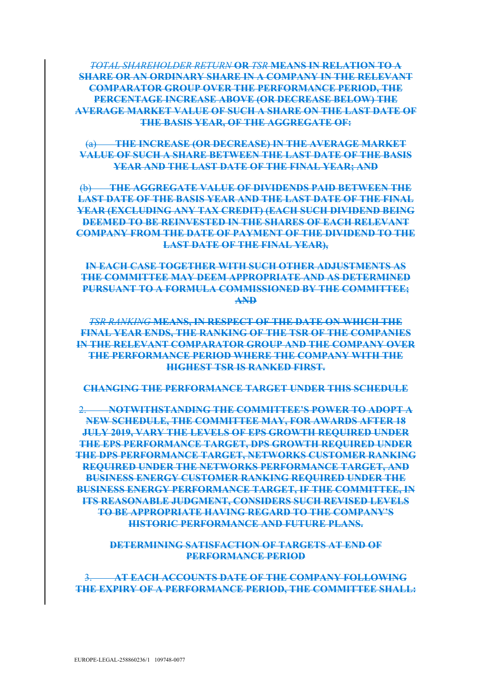*TOTAL SHAREHOLDER RETURN* **OR** *TSR* **MEANS IN RELATION TO A SHARE OR AN ORDINARY SHARE IN A COMPANY IN THE RELEVANT COMPARATOR GROUP OVER THE PERFORMANCE PERIOD, THE PERCENTAGE INCREASE ABOVE (OR DECREASE BELOW) THE AVERAGE MARKET VALUE OF SUCH A SHARE ON THE LAST DATE OF THE BASIS YEAR, OF THE AGGREGATE OF:** 

(a) **THE INCREASE (OR DECREASE) IN THE AVERAGE MARKET VALUE OF SUCH A SHARE BETWEEN THE LAST DATE OF THE BASIS YEAR AND THE LAST DATE OF THE FINAL YEAR; AND** 

(b) **THE AGGREGATE VALUE OF DIVIDENDS PAID BETWEEN THE LAST DATE OF THE BASIS YEAR AND THE LAST DATE OF THE FINAL YEAR (EXCLUDING ANY TAX CREDIT) (EACH SUCH DIVIDEND BEING DEEMED TO BE REINVESTED IN THE SHARES OF EACH RELEVANT COMPANY FROM THE DATE OF PAYMENT OF THE DIVIDEND TO THE LAST DATE OF THE FINAL YEAR),**

**IN EACH CASE TOGETHER WITH SUCH OTHER ADJUSTMENTS AS THE COMMITTEE MAY DEEM APPROPRIATE AND AS DETERMINED PURSUANT TO A FORMULA COMMISSIONED BY THE COMMITTEE; AND**

*TSR RANKING* **MEANS, IN RESPECT OF THE DATE ON WHICH THE FINAL YEAR ENDS, THE RANKING OF THE TSR OF THE COMPANIES IN THE RELEVANT COMPARATOR GROUP AND THE COMPANY OVER THE PERFORMANCE PERIOD WHERE THE COMPANY WITH THE HIGHEST TSR IS RANKED FIRST.**

**CHANGING THE PERFORMANCE TARGET UNDER THIS SCHEDULE**

2. **NOTWITHSTANDING THE COMMITTEE'S POWER TO ADOPT A NEW SCHEDULE, THE COMMITTEE MAY, FOR AWARDS AFTER 18 JULY 2019, VARY THE LEVELS OF EPS GROWTH REQUIRED UNDER THE EPS PERFORMANCE TARGET, DPS GROWTH REQUIRED UNDER THE DPS PERFORMANCE TARGET, NETWORKS CUSTOMER RANKING REQUIRED UNDER THE NETWORKS PERFORMANCE TARGET, AND BUSINESS ENERGY CUSTOMER RANKING REQUIRED UNDER THE BUSINESS ENERGY PERFORMANCE TARGET, IF THE COMMITTEE, IN ITS REASONABLE JUDGMENT, CONSIDERS SUCH REVISED LEVELS TO BE APPROPRIATE HAVING REGARD TO THE COMPANY'S HISTORIC PERFORMANCE AND FUTURE PLANS.**

**DETERMINING SATISFACTION OF TARGETS AT END OF PERFORMANCE PERIOD**

3. **AT EACH ACCOUNTS DATE OF THE COMPANY FOLLOWING THE EXPIRY OF A PERFORMANCE PERIOD, THE COMMITTEE SHALL:**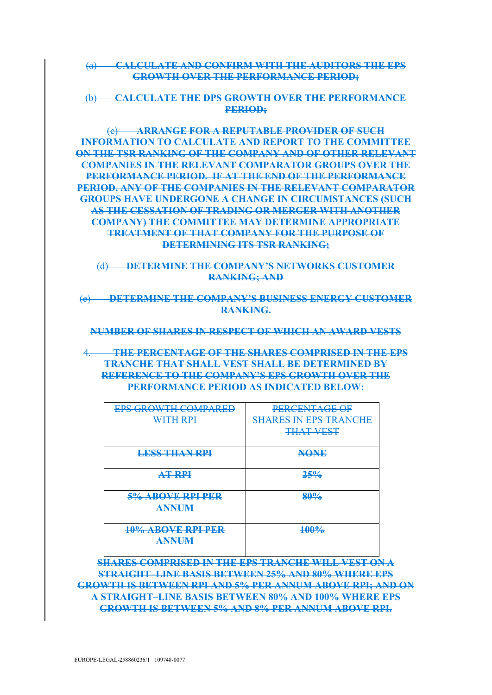(a) **CALCULATE AND CONFIRM WITH THE AUDITORS THE EPS GROWTH OVER THE PERFORMANCE PERIOD;** 

(b) **CALCULATE THE DPS GROWTH OVER THE PERFORMANCE PERIOD;**

(c) **ARRANGE FOR A REPUTABLE PROVIDER OF SUCH INFORMATION TO CALCULATE AND REPORT TO THE COMMITTEE ON THE TSR RANKING OF THE COMPANY AND OF OTHER RELEVANT COMPANIES IN THE RELEVANT COMPARATOR GROUPS OVER THE PERFORMANCE PERIOD. IF AT THE END OF THE PERFORMANCE PERIOD, ANY OF THE COMPANIES IN THE RELEVANT COMPARATOR GROUPS HAVE UNDERGONE A CHANGE IN CIRCUMSTANCES (SUCH AS THE CESSATION OF TRADING OR MERGER WITH ANOTHER COMPANY) THE COMMITTEE MAY DETERMINE APPROPRIATE TREATMENT OF THAT COMPANY FOR THE PURPOSE OF DETERMINING ITS TSR RANKING;** 

(d) **DETERMINE THE COMPANY'S NETWORKS CUSTOMER RANKING; AND**

(e) **DETERMINE THE COMPANY'S BUSINESS ENERGY CUSTOMER RANKING.**

**NUMBER OF SHARES IN RESPECT OF WHICH AN AWARD VESTS**

4. **THE PERCENTAGE OF THE SHARES COMPRISED IN THE EPS TRANCHE THAT SHALL VEST SHALL BE DETERMINED BY REFERENCE TO THE COMPANY'S EPS GROWTH OVER THE PERFORMANCE PERIOD AS INDICATED BELOW:**

| <b>EPS GROWTH COMPARED</b><br><b>WITH RPI</b> | <b>PERCENTAGE OF</b><br><b>SHARES IN EPS TRANCHE</b><br><b>THAT VEST</b> |
|-----------------------------------------------|--------------------------------------------------------------------------|
| <b>LESS THAN RPI</b>                          | <b>NONE</b>                                                              |
| <b>AT RPI</b>                                 | 25%                                                                      |
| 5% ABOVE RPI PER<br><b>ANNUM</b>              | 80%                                                                      |
| 10% ABOVE RPI PER<br><b>ANNUM</b>             | 100%                                                                     |

**SHARES COMPRISED IN THE EPS TRANCHE WILL VEST ON A STRAIGHT–LINE BASIS BETWEEN 25% AND 80% WHERE EPS GROWTH IS BETWEEN RPI AND 5% PER ANNUM ABOVE RPI; AND ON A STRAIGHT–LINE BASIS BETWEEN 80% AND 100% WHERE EPS GROWTH IS BETWEEN 5% AND 8% PER ANNUM ABOVE RPI.**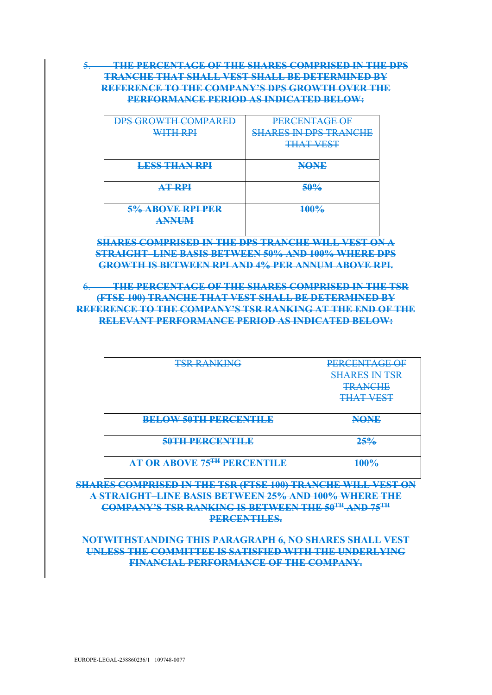5. **THE PERCENTAGE OF THE SHARES COMPRISED IN THE DPS TRANCHE THAT SHALL VEST SHALL BE DETERMINED BY REFERENCE TO THE COMPANY'S DPS GROWTH OVER THE PERFORMANCE PERIOD AS INDICATED BELOW:**

| <b>DPS GROWTH COMPARED</b>       | <b>PERCENTAGE OF</b>                                             |
|----------------------------------|------------------------------------------------------------------|
| <b>WITH RPI</b>                  | <u>CHAREC IN DDC TRANCHE</u><br><del>MMND IN DI 0 TIVINOND</del> |
|                                  | <b>THAT VEST</b>                                                 |
|                                  |                                                                  |
| <b>LESS THAN RPI</b>             | <b>NONE</b>                                                      |
| <b>AT RPI</b>                    | 50%                                                              |
| 5% ABOVE RPI PER<br><b>ANNUM</b> | 100%                                                             |

**SHARES COMPRISED IN THE DPS TRANCHE WILL VEST ON A STRAIGHT–LINE BASIS BETWEEN 50% AND 100% WHERE DPS GROWTH IS BETWEEN RPI AND 4% PER ANNUM ABOVE RPI.**

<span id="page-27-0"></span>6. **THE PERCENTAGE OF THE SHARES COMPRISED IN THE TSR (FTSE 100) TRANCHE THAT VEST SHALL BE DETERMINED BY REFERENCE TO THE COMPANY'S TSR RANKING AT THE END OF THE RELEVANT PERFORMANCE PERIOD AS INDICATED BELOW:**

| <b>TSR RANKING</b>                 | PERCENTAGE OF<br><b>SHARES IN TSR</b><br><b>TRANCHE</b><br><b>THAT VEST</b> |
|------------------------------------|-----------------------------------------------------------------------------|
| <b>BELOW 50TH PERCENTILE</b>       | <b>NONE</b>                                                                 |
| 50TH PERCENTILE                    | 25%                                                                         |
| <b>AT OR ABOVE 75TH PERCENTILE</b> | 100%                                                                        |

**SHARES COMPRISED IN THE TSR (FTSE 100) TRANCHE WILL VEST ON A STRAIGHT–LINE BASIS BETWEEN 25% AND 100% WHERE THE COMPANY'S TSR RANKING IS BETWEEN THE 50TH AND 75TH PERCENTILES.**

**NOTWITHSTANDING THIS PARAGRAPH [6,](#page-27-0) NO SHARES SHALL VEST UNLESS THE COMMITTEE IS SATISFIED WITH THE UNDERLYING FINANCIAL PERFORMANCE OF THE COMPANY.**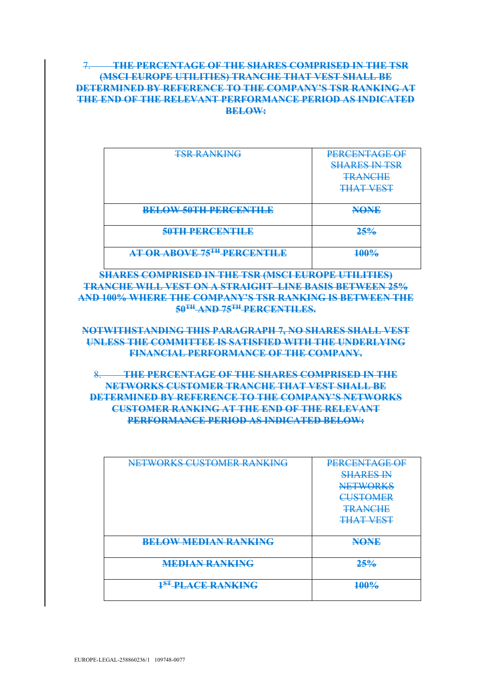## <span id="page-28-0"></span>7. **THE PERCENTAGE OF THE SHARES COMPRISED IN THE TSR (MSCI EUROPE UTILITIES) TRANCHE THAT VEST SHALL BE DETERMINED BY REFERENCE TO THE COMPANY'S TSR RANKING AT THE END OF THE RELEVANT PERFORMANCE PERIOD AS INDICATED BELOW:**

| <b>TSR RANKING</b>           | PERCENTAGE OF<br><b>SHARES IN TSR</b><br><b>TRANCHE</b><br><b>THAT VEST</b> |
|------------------------------|-----------------------------------------------------------------------------|
| <b>BELOW 50TH PERCENTILE</b> | <b>NONE</b>                                                                 |
| 50TH PERCENTILE              | 25%                                                                         |
| AT OR ABOVE 75TH PERCENTILE  | 100%                                                                        |

**SHARES COMPRISED IN THE TSR (MSCI EUROPE UTILITIES) TRANCHE WILL VEST ON A STRAIGHT–LINE BASIS BETWEEN 25% AND 100% WHERE THE COMPANY'S TSR RANKING IS BETWEEN THE 50TH AND 75TH PERCENTILES.**

### **NOTWITHSTANDING THIS PARAGRAPH [7,](#page-28-0) NO SHARES SHALL VEST UNLESS THE COMMITTEE IS SATISFIED WITH THE UNDERLYING FINANCIAL PERFORMANCE OF THE COMPANY.**

8. **THE PERCENTAGE OF THE SHARES COMPRISED IN THE NETWORKS CUSTOMER TRANCHE THAT VEST SHALL BE DETERMINED BY REFERENCE TO THE COMPANY'S NETWORKS CUSTOMER RANKING AT THE END OF THE RELEVANT PERFORMANCE PERIOD AS INDICATED BELOW:**

| NETWORKS CUSTOMER RANKING           | PERCENTAGE OF<br><b>SHARES IN</b>  |
|-------------------------------------|------------------------------------|
|                                     | <b>NETWORKS</b><br><b>CUSTOMER</b> |
|                                     | <b>TRANCHE</b><br><b>THAT VEST</b> |
|                                     |                                    |
| <b>BELOW MEDIAN RANKING</b>         | <b>NONE</b>                        |
| <b>MEDIAN RANKING</b>               | 25%                                |
| <b>1<sup>ST</sup>-PLACE RANKING</b> | $100\%$                            |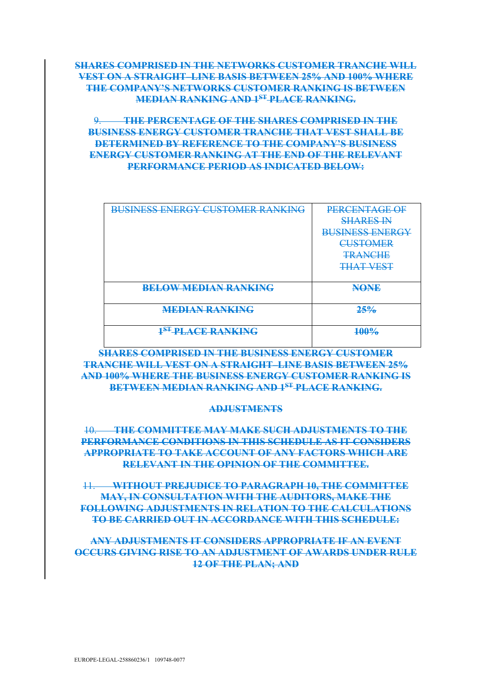# **SHARES COMPRISED IN THE NETWORKS CUSTOMER TRANCHE WILL VEST ON A STRAIGHT–LINE BASIS BETWEEN 25% AND 100% WHERE THE COMPANY'S NETWORKS CUSTOMER RANKING IS BETWEEN MEDIAN RANKING AND 1ST PLACE RANKING.**

## 9. **THE PERCENTAGE OF THE SHARES COMPRISED IN THE BUSINESS ENERGY CUSTOMER TRANCHE THAT VEST SHALL BE DETERMINED BY REFERENCE TO THE COMPANY'S BUSINESS ENERGY CUSTOMER RANKING AT THE END OF THE RELEVANT PERFORMANCE PERIOD AS INDICATED BELOW:**

| <b>BUSINESS ENERGY CUSTOMER RANKING</b> | PERCENTAGE OF          |
|-----------------------------------------|------------------------|
|                                         | <b>SHARES IN</b>       |
|                                         | <b>BUSINESS ENERGY</b> |
|                                         | <b>CUSTOMER</b>        |
|                                         | <b>TRANCHE</b>         |
|                                         | <b>THAT VEST</b>       |
|                                         |                        |
| <b>BELOW MEDIAN RANKING</b>             | <b>NONE</b>            |
|                                         |                        |
| <b>MEDIAN RANKING</b>                   | 25%                    |
|                                         |                        |
| <sup>1ST</sup> -PLACE-RANKING           | 100%                   |
|                                         |                        |

## **SHARES COMPRISED IN THE BUSINESS ENERGY CUSTOMER TRANCHE WILL VEST ON A STRAIGHT–LINE BASIS BETWEEN 25% AND 100% WHERE THE BUSINESS ENERGY CUSTOMER RANKING IS BETWEEN MEDIAN RANKING AND 1ST PLACE RANKING.**

### **ADJUSTMENTS**

## <span id="page-29-0"></span>10. **THE COMMITTEE MAY MAKE SUCH ADJUSTMENTS TO THE PERFORMANCE CONDITIONS IN THIS SCHEDULE AS IT CONSIDERS APPROPRIATE TO TAKE ACCOUNT OF ANY FACTORS WHICH ARE RELEVANT IN THE OPINION OF THE COMMITTEE.**

11. **WITHOUT PREJUDICE TO PARAGRAPH [10,](#page-29-0) THE COMMITTEE MAY, IN CONSULTATION WITH THE AUDITORS, MAKE THE FOLLOWING ADJUSTMENTS IN RELATION TO THE CALCULATIONS TO BE CARRIED OUT IN ACCORDANCE WITH THIS SCHEDULE:**

### **ANY ADJUSTMENTS IT CONSIDERS APPROPRIATE IF AN EVENT OCCURS GIVING RISE TO AN ADJUSTMENT OF AWARDS UNDER RULE [12](#page-17-2) OF THE PLAN; AND**